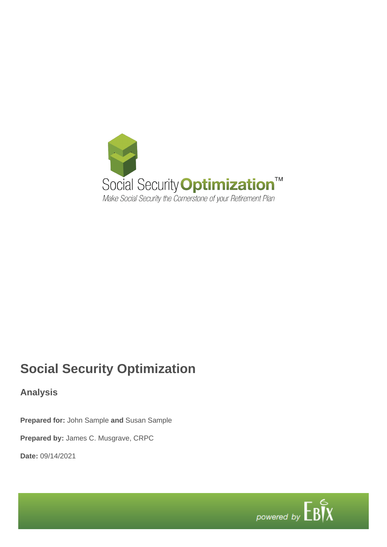

# **Social Security Optimization**

**Analysis**

**Prepared for:** John Sample **and** Susan Sample

**Prepared by:** James C. Musgrave, CRPC

**Date:** 09/14/2021

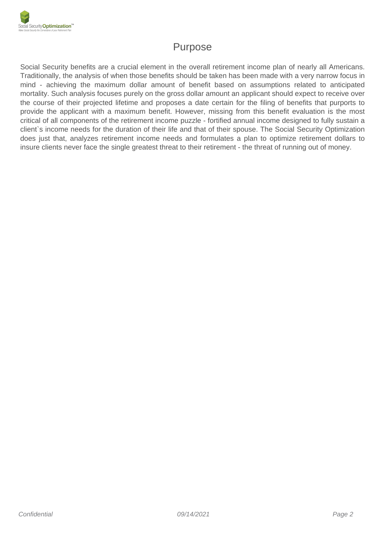

## Purpose

Social Security benefits are a crucial element in the overall retirement income plan of nearly all Americans. Traditionally, the analysis of when those benefits should be taken has been made with a very narrow focus in mind - achieving the maximum dollar amount of benefit based on assumptions related to anticipated mortality. Such analysis focuses purely on the gross dollar amount an applicant should expect to receive over the course of their projected lifetime and proposes a date certain for the filing of benefits that purports to provide the applicant with a maximum benefit. However, missing from this benefit evaluation is the most critical of all components of the retirement income puzzle - fortified annual income designed to fully sustain a client`s income needs for the duration of their life and that of their spouse. The Social Security Optimization does just that, analyzes retirement income needs and formulates a plan to optimize retirement dollars to insure clients never face the single greatest threat to their retirement - the threat of running out of money.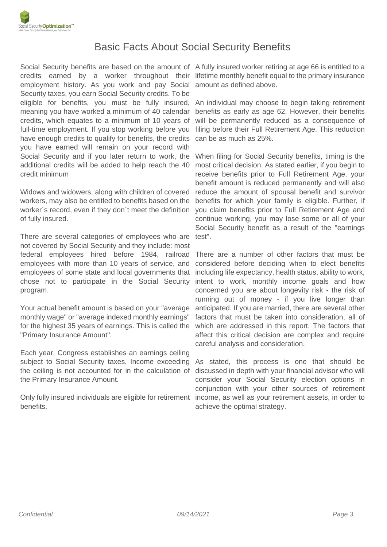

#### Basic Facts About Social Security Benefits

Social Security benefits are based on the amount of A fully insured worker retiring at age 66 is entitled to a credits earned by a worker throughout their lifetime monthly benefit equal to the primary insurance employment history. As you work and pay Social amount as defined above. Security taxes, you earn Social Security credits. To be eligible for benefits, you must be fully insured, meaning you have worked a minimum of 40 calendar credits, which equates to a minimum of 10 years of full-time employment. If you stop working before you have enough credits to qualify for benefits, the credits you have earned will remain on your record with Social Security and if you later return to work, the additional credits will be added to help reach the 40 credit minimum

Widows and widowers, along with children of covered workers, may also be entitled to benefits based on the worker`s record, even if they don`t meet the definition of fully insured.

There are several categories of employees who are not covered by Social Security and they include: most federal employees hired before 1984, railroad There are a number of other factors that must be employees with more than 10 years of service, and employees of some state and local governments that including life expectancy, health status, ability to work, chose not to participate in the Social Security program.

Your actual benefit amount is based on your "average monthly wage" or "average indexed monthly earnings" for the highest 35 years of earnings. This is called the "Primary Insurance Amount".

Each year, Congress establishes an earnings ceiling subject to Social Security taxes. Income exceeding the ceiling is not accounted for in the calculation of the Primary Insurance Amount.

Only fully insured individuals are eligible for retirement income, as well as your retirement assets, in order to benefits.

An individual may choose to begin taking retirement benefits as early as age 62. However, their benefits will be permanently reduced as a consequence of filing before their Full Retirement Age. This reduction can be as much as 25%.

When filing for Social Security benefits, timing is the most critical decision. As stated earlier, if you begin to receive benefits prior to Full Retirement Age, your benefit amount is reduced permanently and will also reduce the amount of spousal benefit and survivor benefits for which your family is eligible. Further, if you claim benefits prior to Full Retirement Age and continue working, you may lose some or all of your Social Security benefit as a result of the "earnings test".

considered before deciding when to elect benefits intent to work, monthly income goals and how concerned you are about longevity risk - the risk of running out of money - if you live longer than anticipated. If you are married, there are several other factors that must be taken into consideration, all of which are addressed in this report. The factors that affect this critical decision are complex and require careful analysis and consideration.

As stated, this process is one that should be discussed in depth with your financial advisor who will consider your Social Security election options in conjunction with your other sources of retirement achieve the optimal strategy.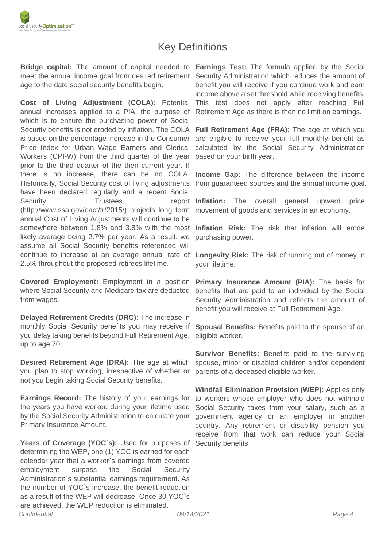### Key Definitions

**Bridge capital:** The amount of capital needed to **Earnings Test:** The formula applied by the Social meet the annual income goal from desired retirement Security Administration which reduces the amount of age to the date social security benefits begin.

**Cost of Living Adjustment (COLA):** Potential This test does not apply after reaching Full annual increases applied to a PIA, the purpose of Retirement Age as there is then no limit on earnings. which is to ensure the purchasing power of Social Security benefits is not eroded by inflation. The COLA **Full Retirement Age (FRA):** The age at which you is based on the percentage increase in the Consumer are eligible to receive your full monthly benefit as Price Index for Urban Wage Earners and Clerical Workers (CPI-W) from the third quarter of the year based on your birth year. prior to the third quarter of the then current year. If there is no increase, there can be no COLA. **Income Gap:** The difference between the income Historically, Social Security cost of living adjustments from guaranteed sources and the annual income goal. have been declared regularly and a recent Social Security Trustees (http://www.ssa.gov/oact/tr/2015/) projects long term movement of goods and services in an economy. annual Cost of Living Adjustments will continue to be somewhere between 1.8% and 3.8% with the most **Inflation Risk:** The risk that inflation will erode likely average being 2.7% per year. As a result, we assume all Social Security benefits referenced will continue to increase at an average annual rate of 2.5% throughout the proposed retirees lifetime.

**Covered Employment:** Employment in a position **Primary Insurance Amount (PIA):** The basis for where Social Security and Medicare tax are deducted benefits that are paid to an individual by the Social from wages.

**Delayed Retirement Credits (DRC):** The increase in monthly Social Security benefits you may receive if you delay taking benefits beyond Full Retirement Age, up to age 70.

**Desired Retirement Age (DRA):** The age at which you plan to stop working, irrespective of whether or not you begin taking Social Security benefits.

**Earnings Record:** The history of your earnings for the years you have worked during your lifetime used by the Social Security Administration to calculate your Primary Insurance Amount.

Years of Coverage (YOC's): Used for purposes of determining the WEP, one (1) YOC is earned for each calendar year that a worker`s earnings from covered employment surpass the Social Security Administration`s substantial earnings requirement. As the number of YOC`s increase, the benefit reduction as a result of the WEP will decrease. Once 30 YOC`s are achieved, the WEP reduction is eliminated. Confidential 09/14/2021 Page 4

benefit you will receive if you continue work and earn income above a set threshold while receiving benefits.

calculated by the Social Security Administration

**Inflation:** The overall general upward price

purchasing power.

**Longevity Risk:** The risk of running out of money in your lifetime.

Security Administration and reflects the amount of benefit you will receive at Full Retirement Age.

**Spousal Benefits:** Benefits paid to the spouse of an eligible worker.

**Survivor Benefits:** Benefits paid to the surviving spouse, minor or disabled children and/or dependent parents of a deceased eligible worker.

**Windfall Elimination Provision (WEP):** Applies only to workers whose employer who does not withhold Social Security taxes from your salary, such as a government agency or an employer in another country. Any retirement or disability pension you receive from that work can reduce your Social Security benefits.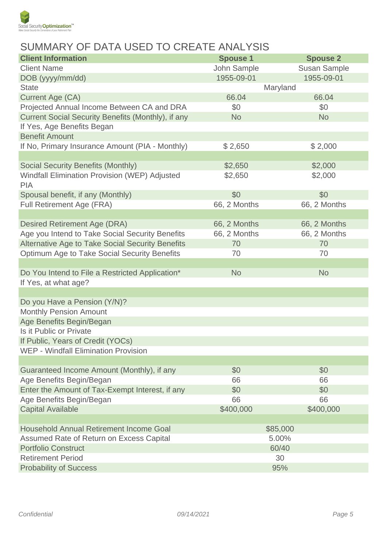

# SUMMARY OF DATA USED TO CREATE ANALYSIS

| <b>Client Information</b>                                          | <b>Spouse 1</b> | <b>Spouse 2</b>     |  |
|--------------------------------------------------------------------|-----------------|---------------------|--|
| <b>Client Name</b>                                                 | John Sample     | <b>Susan Sample</b> |  |
| DOB (yyyy/mm/dd)                                                   | 1955-09-01      | 1955-09-01          |  |
| <b>State</b>                                                       |                 | Maryland            |  |
| <b>Current Age (CA)</b>                                            | 66.04           | 66.04               |  |
| Projected Annual Income Between CA and DRA                         | \$0             | \$0                 |  |
| Current Social Security Benefits (Monthly), if any                 | <b>No</b>       | <b>No</b>           |  |
| If Yes, Age Benefits Began                                         |                 |                     |  |
| <b>Benefit Amount</b>                                              |                 |                     |  |
| If No, Primary Insurance Amount (PIA - Monthly)                    | \$2,650         | \$2,000             |  |
|                                                                    |                 |                     |  |
| <b>Social Security Benefits (Monthly)</b>                          | \$2,650         | \$2,000             |  |
| <b>Windfall Elimination Provision (WEP) Adjusted</b><br><b>PIA</b> | \$2,650         | \$2,000             |  |
| Spousal benefit, if any (Monthly)                                  | \$0             | \$0                 |  |
| <b>Full Retirement Age (FRA)</b>                                   | 66, 2 Months    | 66, 2 Months        |  |
|                                                                    |                 |                     |  |
| <b>Desired Retirement Age (DRA)</b>                                | 66, 2 Months    | 66, 2 Months        |  |
| Age you Intend to Take Social Security Benefits                    | 66, 2 Months    | 66, 2 Months        |  |
| Alternative Age to Take Social Security Benefits                   | 70              | 70                  |  |
| Optimum Age to Take Social Security Benefits                       | 70              | 70                  |  |
|                                                                    |                 |                     |  |
| Do You Intend to File a Restricted Application*                    | <b>No</b>       | <b>No</b>           |  |
| If Yes, at what age?                                               |                 |                     |  |
|                                                                    |                 |                     |  |
| Do you Have a Pension (Y/N)?                                       |                 |                     |  |
| <b>Monthly Pension Amount</b>                                      |                 |                     |  |
| Age Benefits Begin/Began                                           |                 |                     |  |
| Is it Public or Private                                            |                 |                     |  |
| If Public, Years of Credit (YOCs)                                  |                 |                     |  |
| <b>WEP - Windfall Elimination Provision</b>                        |                 |                     |  |
|                                                                    |                 |                     |  |
| Guaranteed Income Amount (Monthly), if any                         | \$0             | \$0                 |  |
| Age Benefits Begin/Began                                           | 66              | 66                  |  |
| Enter the Amount of Tax-Exempt Interest, if any                    | \$0<br>66       | \$0<br>66           |  |
| Age Benefits Begin/Began                                           |                 |                     |  |
| <b>Capital Available</b>                                           | \$400,000       | \$400,000           |  |
| <b>Household Annual Retirement Income Goal</b>                     |                 | \$85,000            |  |
| Assumed Rate of Return on Excess Capital                           |                 | 5.00%               |  |
| <b>Portfolio Construct</b>                                         |                 | 60/40               |  |
| <b>Retirement Period</b>                                           |                 | 30                  |  |
| <b>Probability of Success</b>                                      | 95%             |                     |  |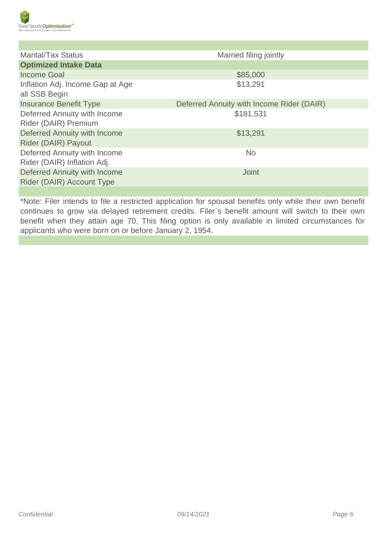

| <b>Marital/Tax Status</b>                                   | Married filing jointly                    |
|-------------------------------------------------------------|-------------------------------------------|
| <b>Optimized Intake Data</b>                                |                                           |
| Income Goal                                                 | \$85,000                                  |
| Inflation Adj. Income Gap at Age<br>all SSB Begin           | \$13,291                                  |
| <b>Insurance Benefit Type</b>                               | Deferred Annuity with Income Rider (DAIR) |
| Deferred Annuity with Income<br>Rider (DAIR) Premium        | \$181,531                                 |
| Deferred Annuity with Income<br>Rider (DAIR) Payout         | \$13,291                                  |
| Deferred Annuity with Income<br>Rider (DAIR) Inflation Adj. | <b>No</b>                                 |
| Deferred Annuity with Income<br>Rider (DAIR) Account Type   | <b>Joint</b>                              |

\*Note: Filer intends to file a restricted application for spousal benefits only while their own benefit continues to grow via delayed retirement credits. Filer`s benefit amount will switch to their own benefit when they attain age 70. This filing option is only available in limited circumstances for applicants who were born on or before January 2, 1954.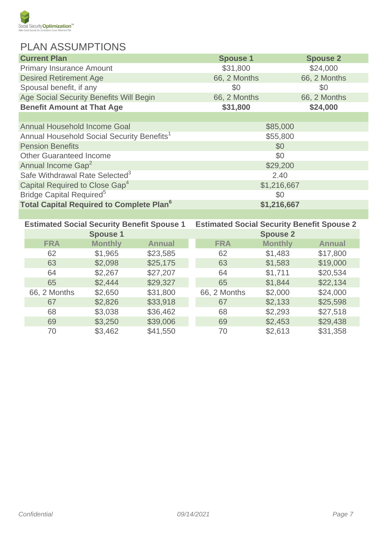

# PLAN ASSUMPTIONS

| <b>Current Plan</b>                                        | <b>Spouse 1</b> | <b>Spouse 2</b> |  |
|------------------------------------------------------------|-----------------|-----------------|--|
| <b>Primary Insurance Amount</b>                            | \$31,800        | \$24,000        |  |
| <b>Desired Retirement Age</b>                              | 66, 2 Months    | 66, 2 Months    |  |
| Spousal benefit, if any                                    | \$0             | \$0             |  |
| Age Social Security Benefits Will Begin                    | 66, 2 Months    | 66, 2 Months    |  |
| <b>Benefit Amount at That Age</b>                          | \$31,800        | \$24,000        |  |
|                                                            |                 |                 |  |
| Annual Household Income Goal                               |                 | \$85,000        |  |
| Annual Household Social Security Benefits <sup>1</sup>     | \$55,800        |                 |  |
| <b>Pension Benefits</b>                                    | \$0             |                 |  |
| <b>Other Guaranteed Income</b>                             | \$0             |                 |  |
| Annual Income Gap <sup>2</sup>                             |                 | \$29,200        |  |
| Safe Withdrawal Rate Selected <sup>3</sup>                 |                 | 2.40            |  |
| Capital Required to Close Gap <sup>4</sup>                 | \$1,216,667     |                 |  |
| Bridge Capital Required <sup>5</sup>                       | \$0             |                 |  |
| <b>Total Capital Required to Complete Plan<sup>6</sup></b> |                 | \$1,216,667     |  |
|                                                            |                 |                 |  |

| <b>Estimated Social Security Benefit Spouse 1</b> |                 | <b>Estimated Social Security Benefit Spouse 2</b> |              |                 |               |
|---------------------------------------------------|-----------------|---------------------------------------------------|--------------|-----------------|---------------|
|                                                   | <b>Spouse 1</b> |                                                   |              | <b>Spouse 2</b> |               |
| <b>FRA</b>                                        | <b>Monthly</b>  | <b>Annual</b>                                     | <b>FRA</b>   | <b>Monthly</b>  | <b>Annual</b> |
| 62                                                | \$1,965         | \$23,585                                          | 62           | \$1,483         | \$17,800      |
| 63                                                | \$2,098         | \$25,175                                          | 63           | \$1,583         | \$19,000      |
| 64                                                | \$2,267         | \$27,207                                          | 64           | \$1,711         | \$20,534      |
| 65                                                | \$2,444         | \$29,327                                          | 65           | \$1,844         | \$22,134      |
| 66, 2 Months                                      | \$2,650         | \$31,800                                          | 66, 2 Months | \$2,000         | \$24,000      |
| 67                                                | \$2,826         | \$33,918                                          | 67           | \$2,133         | \$25,598      |
| 68                                                | \$3,038         | \$36,462                                          | 68           | \$2,293         | \$27,518      |
| 69                                                | \$3,250         | \$39,006                                          | 69           | \$2,453         | \$29,438      |
| 70                                                | \$3,462         | \$41,550                                          | 70           | \$2,613         | \$31,358      |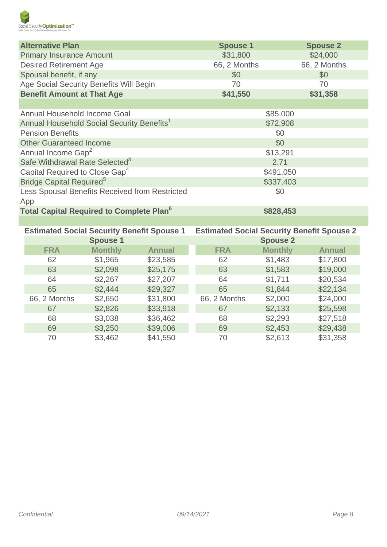

| <b>Alternative Plan</b>                                |                                 |               | <b>Spouse 1</b>                                   |                 | <b>Spouse 2</b> |  |  |
|--------------------------------------------------------|---------------------------------|---------------|---------------------------------------------------|-----------------|-----------------|--|--|
|                                                        | <b>Primary Insurance Amount</b> |               | \$31,800                                          |                 | \$24,000        |  |  |
|                                                        | <b>Desired Retirement Age</b>   |               | 66, 2 Months                                      |                 | 66, 2 Months    |  |  |
| Spousal benefit, if any                                |                                 |               | \$0                                               |                 | \$0             |  |  |
| Age Social Security Benefits Will Begin                |                                 | 70            |                                                   | 70              |                 |  |  |
| <b>Benefit Amount at That Age</b>                      |                                 |               | \$41,550                                          |                 | \$31,358        |  |  |
|                                                        |                                 |               |                                                   |                 |                 |  |  |
| Annual Household Income Goal                           |                                 |               |                                                   | \$85,000        |                 |  |  |
| Annual Household Social Security Benefits <sup>1</sup> |                                 |               |                                                   | \$72,908        |                 |  |  |
| <b>Pension Benefits</b>                                |                                 |               |                                                   | \$0             |                 |  |  |
| <b>Other Guaranteed Income</b>                         |                                 |               | \$0                                               |                 |                 |  |  |
| Annual Income Gap <sup>2</sup>                         |                                 |               | \$13,291<br>2.71<br>\$491,050                     |                 |                 |  |  |
| Safe Withdrawal Rate Selected <sup>3</sup>             |                                 |               |                                                   |                 |                 |  |  |
| Capital Required to Close Gap <sup>4</sup>             |                                 |               |                                                   |                 |                 |  |  |
| Bridge Capital Required <sup>5</sup>                   |                                 |               |                                                   | \$337,403       |                 |  |  |
| Less Spousal Benefits Received from Restricted         |                                 |               | \$0                                               |                 |                 |  |  |
| App                                                    |                                 |               |                                                   |                 |                 |  |  |
| Total Capital Required to Complete Plan <sup>6</sup>   |                                 |               | \$828,453                                         |                 |                 |  |  |
|                                                        |                                 |               |                                                   |                 |                 |  |  |
| <b>Estimated Social Security Benefit Spouse 1</b>      |                                 |               | <b>Estimated Social Security Benefit Spouse 2</b> |                 |                 |  |  |
|                                                        | <b>Spouse 1</b>                 |               |                                                   | <b>Spouse 2</b> |                 |  |  |
| <b>FRA</b>                                             | <b>Monthly</b>                  | <b>Annual</b> | <b>FRA</b>                                        | <b>Monthly</b>  | <b>Annual</b>   |  |  |
| 62                                                     | \$1,965                         | \$23,585      | 62                                                | \$1,483         | \$17,800        |  |  |
| 63                                                     | \$2,098                         | \$25,175      | 63                                                | \$1,583         | \$19,000        |  |  |
| 64                                                     | \$2,267                         | \$27,207      | 64                                                | \$1,711         | \$20,534        |  |  |
| 65                                                     | \$2,444                         | \$29,327      | 65                                                | \$1,844         | \$22,134        |  |  |
| 66, 2 Months                                           | \$2,650                         | \$31,800      | 66, 2 Months                                      | \$2,000         | \$24,000        |  |  |
| 67                                                     | \$2,826                         | \$33,918      | 67                                                | \$2,133         | \$25,598        |  |  |
| 68                                                     | \$3,038                         | \$36,462      | 68                                                | \$2,293         | \$27,518        |  |  |
| 69                                                     | \$3,250                         | \$39,006      | 69                                                | \$2,453         | \$29,438        |  |  |
| 70                                                     | \$3,462                         | \$41,550      | 70                                                | \$2,613         | \$31,358        |  |  |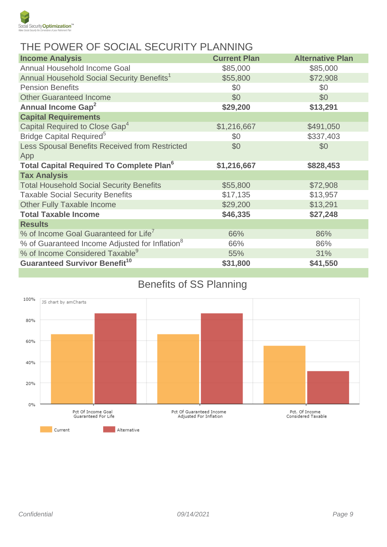

# THE POWER OF SOCIAL SECURITY PLANNING

| <b>Income Analysis</b>                                     | <b>Current Plan</b> | <b>Alternative Plan</b> |
|------------------------------------------------------------|---------------------|-------------------------|
| Annual Household Income Goal                               | \$85,000            | \$85,000                |
| Annual Household Social Security Benefits <sup>1</sup>     | \$55,800            | \$72,908                |
| <b>Pension Benefits</b>                                    | \$0                 | \$0                     |
| <b>Other Guaranteed Income</b>                             | \$0                 | \$0                     |
| Annual Income Gap <sup>2</sup>                             | \$29,200            | \$13,291                |
| <b>Capital Requirements</b>                                |                     |                         |
| Capital Required to Close Gap <sup>4</sup>                 | \$1,216,667         | \$491,050               |
| Bridge Capital Required <sup>5</sup>                       | \$0                 | \$337,403               |
| Less Spousal Benefits Received from Restricted             | \$0                 | \$0                     |
| App                                                        |                     |                         |
| <b>Total Capital Required To Complete Plan<sup>6</sup></b> | \$1,216,667         | \$828,453               |
| <b>Tax Analysis</b>                                        |                     |                         |
| <b>Total Household Social Security Benefits</b>            | \$55,800            | \$72,908                |
| <b>Taxable Social Security Benefits</b>                    | \$17,135            | \$13,957                |
| Other Fully Taxable Income                                 | \$29,200            | \$13,291                |
| <b>Total Taxable Income</b>                                | \$46,335            | \$27,248                |
| <b>Results</b>                                             |                     |                         |
| % of Income Goal Guaranteed for Life7                      | 66%                 | 86%                     |
| % of Guaranteed Income Adjusted for Inflation <sup>8</sup> | 66%                 | 86%                     |
| % of Income Considered Taxable <sup>9</sup>                | 55%                 | 31%                     |
| <b>Guaranteed Survivor Benefit<sup>10</sup></b>            | \$31,800            | \$41,550                |

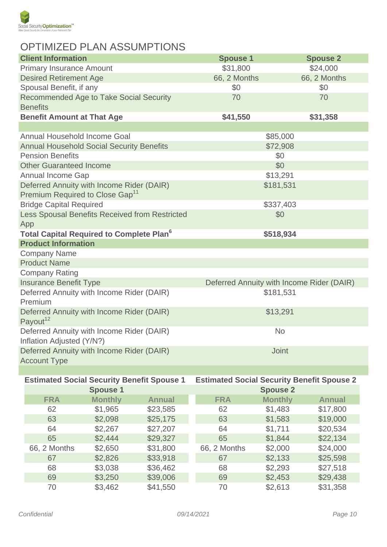

# OPTIMIZED PLAN ASSUMPTIONS

| <b>Client Information</b>                                              | <b>Spouse 1</b>                           | <b>Spouse 2</b> |  |
|------------------------------------------------------------------------|-------------------------------------------|-----------------|--|
| <b>Primary Insurance Amount</b>                                        | \$31,800                                  | \$24,000        |  |
| <b>Desired Retirement Age</b>                                          | 66, 2 Months                              | 66, 2 Months    |  |
| Spousal Benefit, if any                                                | \$0                                       | \$0             |  |
| <b>Recommended Age to Take Social Security</b><br><b>Benefits</b>      | 70                                        | 70              |  |
| <b>Benefit Amount at That Age</b>                                      | \$41,550                                  | \$31,358        |  |
|                                                                        |                                           |                 |  |
| Annual Household Income Goal                                           | \$85,000                                  |                 |  |
| <b>Annual Household Social Security Benefits</b>                       | \$72,908                                  |                 |  |
| <b>Pension Benefits</b>                                                | \$0                                       |                 |  |
| <b>Other Guaranteed Income</b>                                         | \$0                                       |                 |  |
| Annual Income Gap                                                      | \$13,291                                  |                 |  |
| Deferred Annuity with Income Rider (DAIR)                              | \$181,531                                 |                 |  |
| Premium Required to Close Gap <sup>11</sup>                            |                                           |                 |  |
| <b>Bridge Capital Required</b>                                         | \$337,403                                 |                 |  |
| Less Spousal Benefits Received from Restricted                         | \$0                                       |                 |  |
| App                                                                    |                                           |                 |  |
| <b>Total Capital Required to Complete Plan<sup>6</sup></b>             | \$518,934                                 |                 |  |
| <b>Product Information</b>                                             |                                           |                 |  |
| <b>Company Name</b>                                                    |                                           |                 |  |
| <b>Product Name</b>                                                    |                                           |                 |  |
| <b>Company Rating</b>                                                  |                                           |                 |  |
| <b>Insurance Benefit Type</b>                                          | Deferred Annuity with Income Rider (DAIR) |                 |  |
| Deferred Annuity with Income Rider (DAIR)<br>Premium                   | \$181,531                                 |                 |  |
| Deferred Annuity with Income Rider (DAIR)<br>Payout <sup>12</sup>      | \$13,291                                  |                 |  |
| Deferred Annuity with Income Rider (DAIR)<br>Inflation Adjusted (Y/N?) | <b>No</b>                                 |                 |  |
| Deferred Annuity with Income Rider (DAIR)<br><b>Account Type</b>       | <b>Joint</b>                              |                 |  |
|                                                                        |                                           |                 |  |

| <b>Estimated Social Security Benefit Spouse 1</b> |                 | <b>Estimated Social Security Benefit Spouse 2</b> |              |                 |               |
|---------------------------------------------------|-----------------|---------------------------------------------------|--------------|-----------------|---------------|
|                                                   | <b>Spouse 1</b> |                                                   |              | <b>Spouse 2</b> |               |
| <b>FRA</b>                                        | <b>Monthly</b>  | <b>Annual</b>                                     | <b>FRA</b>   | <b>Monthly</b>  | <b>Annual</b> |
| 62                                                | \$1,965         | \$23,585                                          | 62           | \$1,483         | \$17,800      |
| 63                                                | \$2,098         | \$25,175                                          | 63           | \$1,583         | \$19,000      |
| 64                                                | \$2,267         | \$27,207                                          | 64           | \$1,711         | \$20,534      |
| 65                                                | \$2,444         | \$29,327                                          | 65           | \$1,844         | \$22,134      |
| 66, 2 Months                                      | \$2,650         | \$31,800                                          | 66, 2 Months | \$2,000         | \$24,000      |
| 67                                                | \$2,826         | \$33,918                                          | 67           | \$2,133         | \$25,598      |
| 68                                                | \$3,038         | \$36,462                                          | 68           | \$2,293         | \$27,518      |
| 69                                                | \$3,250         | \$39,006                                          | 69           | \$2,453         | \$29,438      |
| 70                                                | \$3,462         | \$41,550                                          | 70           | \$2,613         | \$31,358      |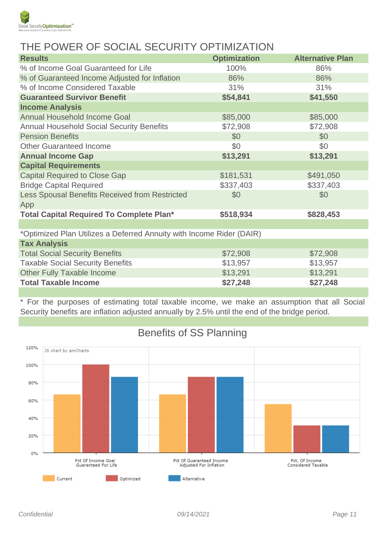

## THE POWER OF SOCIAL SECURITY OPTIMIZATION

| <b>Results</b>                                                       | <b>Optimization</b> | <b>Alternative Plan</b> |
|----------------------------------------------------------------------|---------------------|-------------------------|
| % of Income Goal Guaranteed for Life                                 | 100%                | 86%                     |
| % of Guaranteed Income Adjusted for Inflation                        | 86%                 | 86%                     |
| % of Income Considered Taxable                                       | 31%                 | 31%                     |
| <b>Guaranteed Survivor Benefit</b>                                   | \$54,841            | \$41,550                |
| <b>Income Analysis</b>                                               |                     |                         |
| <b>Annual Household Income Goal</b>                                  | \$85,000            | \$85,000                |
| <b>Annual Household Social Security Benefits</b>                     | \$72,908            | \$72,908                |
| <b>Pension Benefits</b>                                              | \$0                 | \$0                     |
| <b>Other Guaranteed Income</b>                                       | \$0                 | \$0                     |
| <b>Annual Income Gap</b>                                             | \$13,291            | \$13,291                |
| <b>Capital Requirements</b>                                          |                     |                         |
| <b>Capital Required to Close Gap</b>                                 | \$181,531           | \$491,050               |
| <b>Bridge Capital Required</b>                                       | \$337,403           | \$337,403               |
| Less Spousal Benefits Received from Restricted                       | \$0                 | \$0                     |
| App                                                                  |                     |                         |
| <b>Total Capital Required To Complete Plan*</b>                      | \$518,934           | \$828,453               |
|                                                                      |                     |                         |
| *Optimized Plan Utilizes a Deferred Annuity with Income Rider (DAIR) |                     |                         |
| <b>Tax Analysis</b>                                                  |                     |                         |
| <b>Total Social Security Benefits</b>                                | \$72,908            | \$72,908                |
| <b>Taxable Social Security Benefits</b>                              | \$13,957            | \$13,957                |
| <b>Other Fully Taxable Income</b>                                    | \$13,291            | \$13,291                |
| <b>Total Taxable Income</b>                                          | \$27,248            | \$27,248                |

\* For the purposes of estimating total taxable income, we make an assumption that all Social Security benefits are inflation adjusted annually by 2.5% until the end of the bridge period.



# Benefits of SS Planning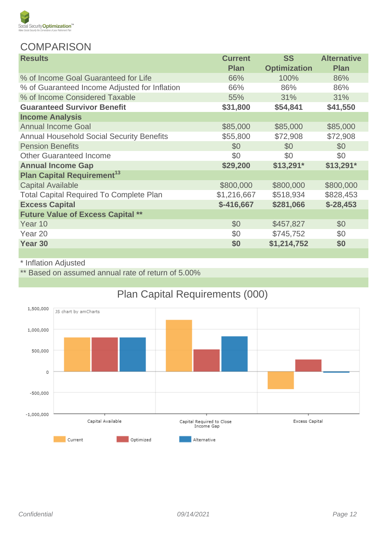

#### **COMPARISON**

| <b>Results</b>                                   | <b>Current</b> | <b>SS</b>           | <b>Alternative</b> |
|--------------------------------------------------|----------------|---------------------|--------------------|
|                                                  | <b>Plan</b>    | <b>Optimization</b> | <b>Plan</b>        |
| % of Income Goal Guaranteed for Life             | 66%            | 100%                | 86%                |
| % of Guaranteed Income Adjusted for Inflation    | 66%            | 86%                 | 86%                |
| % of Income Considered Taxable                   | 55%            | 31%                 | 31%                |
| <b>Guaranteed Survivor Benefit</b>               | \$31,800       | \$54,841            | \$41,550           |
| <b>Income Analysis</b>                           |                |                     |                    |
| <b>Annual Income Goal</b>                        | \$85,000       | \$85,000            | \$85,000           |
| <b>Annual Household Social Security Benefits</b> | \$55,800       | \$72,908            | \$72,908           |
| <b>Pension Benefits</b>                          | \$0            | \$0                 | \$0                |
| <b>Other Guaranteed Income</b>                   | \$0            | \$0                 | \$0                |
| <b>Annual Income Gap</b>                         | \$29,200       | $$13,291*$          | $$13,291*$         |
| <b>Plan Capital Requirement<sup>13</sup></b>     |                |                     |                    |
| <b>Capital Available</b>                         | \$800,000      | \$800,000           | \$800,000          |
| <b>Total Capital Required To Complete Plan</b>   | \$1,216,667    | \$518,934           | \$828,453          |
| <b>Excess Capital</b>                            | $$-416,667$    | \$281,066           | $$-28,453$         |
| <b>Future Value of Excess Capital **</b>         |                |                     |                    |
| Year 10                                          | \$0            | \$457,827           | \$0                |
| Year 20                                          | \$0            | \$745,752           | \$0                |
| Year 30                                          | \$0            | \$1,214,752         | \$0                |
|                                                  |                |                     |                    |

#### \* Inflation Adjusted

\*\* Based on assumed annual rate of return of 5.00%



# Plan Capital Requirements (000)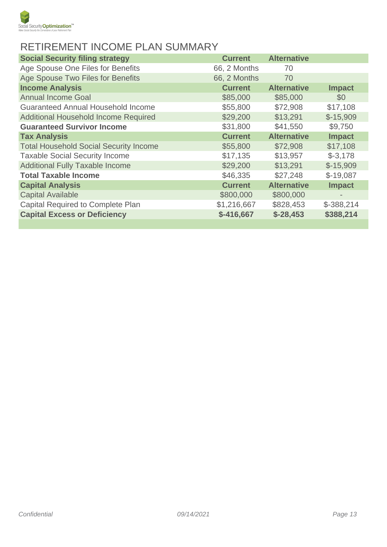

# RETIREMENT INCOME PLAN SUMMARY

| <b>Social Security filing strategy</b>        | <b>Current</b> | <b>Alternative</b> |               |
|-----------------------------------------------|----------------|--------------------|---------------|
| Age Spouse One Files for Benefits             | 66, 2 Months   | 70                 |               |
| Age Spouse Two Files for Benefits             | 66, 2 Months   | 70                 |               |
| <b>Income Analysis</b>                        | <b>Current</b> | <b>Alternative</b> | <b>Impact</b> |
| <b>Annual Income Goal</b>                     | \$85,000       | \$85,000           | \$0           |
| <b>Guaranteed Annual Household Income</b>     | \$55,800       | \$72,908           | \$17,108      |
| Additional Household Income Required          | \$29,200       | \$13,291           | $$-15,909$    |
| <b>Guaranteed Survivor Income</b>             | \$31,800       | \$41,550           | \$9,750       |
| <b>Tax Analysis</b>                           | <b>Current</b> | <b>Alternative</b> | <b>Impact</b> |
| <b>Total Household Social Security Income</b> | \$55,800       | \$72,908           | \$17,108      |
| <b>Taxable Social Security Income</b>         | \$17,135       | \$13,957           | $$-3,178$     |
| <b>Additional Fully Taxable Income</b>        | \$29,200       | \$13,291           | $$-15,909$    |
| <b>Total Taxable Income</b>                   | \$46,335       | \$27,248           | $$-19,087$    |
| <b>Capital Analysis</b>                       | <b>Current</b> | <b>Alternative</b> | <b>Impact</b> |
| <b>Capital Available</b>                      | \$800,000      | \$800,000          |               |
| <b>Capital Required to Complete Plan</b>      | \$1,216,667    | \$828,453          | $$-388,214$   |
| <b>Capital Excess or Deficiency</b>           | $$-416,667$    | $$-28,453$         | \$388,214     |
|                                               |                |                    |               |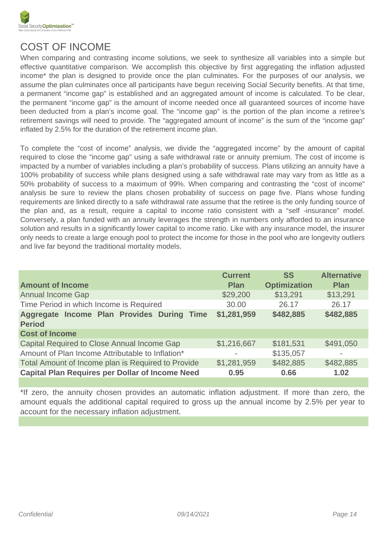

## COST OF INCOME

When comparing and contrasting income solutions, we seek to synthesize all variables into a simple but effective quantitative comparison. We accomplish this objective by first aggregating the inflation adjusted income\* the plan is designed to provide once the plan culminates. For the purposes of our analysis, we assume the plan culminates once all participants have begun receiving Social Security benefits. At that time, a permanent "income gap" is established and an aggregated amount of income is calculated. To be clear, the permanent "income gap" is the amount of income needed once all guaranteed sources of income have been deducted from a plan's income goal. The "income gap" is the portion of the plan income a retiree's retirement savings will need to provide. The "aggregated amount of income" is the sum of the "income gap" inflated by 2.5% for the duration of the retirement income plan.

To complete the "cost of income" analysis, we divide the "aggregated income" by the amount of capital required to close the "income gap" using a safe withdrawal rate or annuity premium. The cost of income is impacted by a number of variables including a plan's probability of success. Plans utilizing an annuity have a 100% probability of success while plans designed using a safe withdrawal rate may vary from as little as a 50% probability of success to a maximum of 99%. When comparing and contrasting the "cost of income" analysis be sure to review the plans chosen probability of success on page five. Plans whose funding requirements are linked directly to a safe withdrawal rate assume that the retiree is the only funding source of the plan and, as a result, require a capital to income ratio consistent with a "self -insurance" model. Conversely, a plan funded with an annuity leverages the strength in numbers only afforded to an insurance solution and results in a significantly lower capital to income ratio. Like with any insurance model, the insurer only needs to create a large enough pool to protect the income for those in the pool who are longevity outliers and live far beyond the traditional mortality models.

| <b>Alternative</b><br><b>Current</b><br><b>SS</b>                                                                     |
|-----------------------------------------------------------------------------------------------------------------------|
| <b>Optimization</b><br><b>Plan</b><br><b>Plan</b>                                                                     |
| \$13,291<br>\$13,291<br>\$29,200                                                                                      |
| Time Period in which Income is Required<br>26.17<br>30.00<br>26.17                                                    |
| \$1,281,959<br>Aggregate Income Plan Provides During Time<br>\$482,885<br>\$482,885                                   |
|                                                                                                                       |
| Capital Required to Close Annual Income Gap<br>\$1,216,667<br>\$181,531<br>\$491,050                                  |
| Amount of Plan Income Attributable to Inflation*<br>\$135,057<br>$\overline{\phantom{a}}$<br>$\overline{\phantom{0}}$ |
| Total Amount of Income plan is Required to Provide<br>\$482,885<br>\$1,281,959<br>\$482,885                           |
| <b>Capital Plan Requires per Dollar of Income Need</b><br>0.95<br>1.02<br>0.66                                        |
|                                                                                                                       |

\*If zero, the annuity chosen provides an automatic inflation adjustment. If more than zero, the amount equals the additional capital required to gross up the annual income by 2.5% per year to account for the necessary inflation adjustment.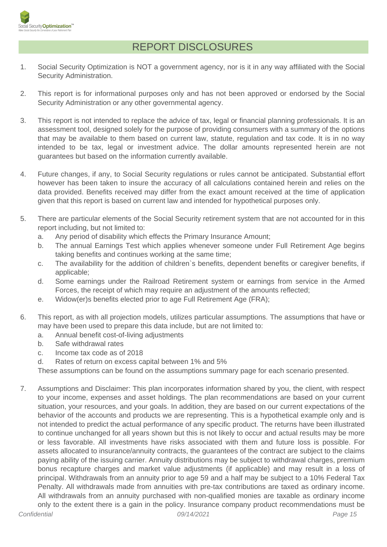

#### REPORT DISCLOSURES

- 1. Social Security Optimization is NOT a government agency, nor is it in any way affiliated with the Social Security Administration.
- 2. This report is for informational purposes only and has not been approved or endorsed by the Social Security Administration or any other governmental agency.
- 3. This report is not intended to replace the advice of tax, legal or financial planning professionals. It is an assessment tool, designed solely for the purpose of providing consumers with a summary of the options that may be available to them based on current law, statute, regulation and tax code. It is in no way intended to be tax, legal or investment advice. The dollar amounts represented herein are not guarantees but based on the information currently available.
- 4. Future changes, if any, to Social Security regulations or rules cannot be anticipated. Substantial effort however has been taken to insure the accuracy of all calculations contained herein and relies on the data provided. Benefits received may differ from the exact amount received at the time of application given that this report is based on current law and intended for hypothetical purposes only.
- 5. There are particular elements of the Social Security retirement system that are not accounted for in this report including, but not limited to:
	- a. Any period of disability which effects the Primary Insurance Amount;
	- b. The annual Earnings Test which applies whenever someone under Full Retirement Age begins taking benefits and continues working at the same time;
	- c. The availability for the addition of children`s benefits, dependent benefits or caregiver benefits, if applicable;
	- d. Some earnings under the Railroad Retirement system or earnings from service in the Armed Forces, the receipt of which may require an adjustment of the amounts reflected;
	- e. Widow(er)s benefits elected prior to age Full Retirement Age (FRA);
- 6. This report, as with all projection models, utilizes particular assumptions. The assumptions that have or may have been used to prepare this data include, but are not limited to:
	- a. Annual benefit cost-of-living adjustments
	- b. Safe withdrawal rates
	- c. Income tax code as of 2018
	- d. Rates of return on excess capital between 1% and 5%

These assumptions can be found on the assumptions summary page for each scenario presented.

7. Assumptions and Disclaimer: This plan incorporates information shared by you, the client, with respect to your income, expenses and asset holdings. The plan recommendations are based on your current situation, your resources, and your goals. In addition, they are based on our current expectations of the behavior of the accounts and products we are representing. This is a hypothetical example only and is not intended to predict the actual performance of any specific product. The returns have been illustrated to continue unchanged for all years shown but this is not likely to occur and actual results may be more or less favorable. All investments have risks associated with them and future loss is possible. For assets allocated to insurance/annuity contracts, the guarantees of the contract are subject to the claims paying ability of the issuing carrier. Annuity distributions may be subject to withdrawal charges, premium bonus recapture charges and market value adjustments (if applicable) and may result in a loss of principal. Withdrawals from an annuity prior to age 59 and a half may be subject to a 10% Federal Tax Penalty. All withdrawals made from annuities with pre-tax contributions are taxed as ordinary income. All withdrawals from an annuity purchased with non-qualified monies are taxable as ordinary income only to the extent there is a gain in the policy. Insurance company product recommendations must be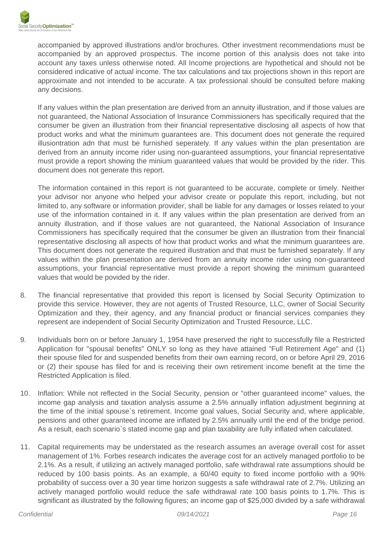accompanied by approved illustrations and/or brochures. Other investment recommendations must be accompanied by an approved prospectus. The income portion of this analysis does not take into account any taxes unless otherwise noted. All Income projections are hypothetical and should not be considered indicative of actual income. The tax calculations and tax projections shown in this report are approximate and not intended to be accurate. A tax professional should be consulted before making any decisions.

If any values within the plan presentation are derived from an annuity illustration, and if those values are not guaranteed, the National Association of Insurance Commissioners has specifically required that the consumer be given an illustration from their financial representative disclosing all aspects of how that product works and what the minimum guarantees are. This document does not generate the required illusiontration adn that must be furnished seperately. If any values within the plan presentation are derived from an annuity income rider using non-guaranteed assumptions, your financial representative must provide a report showing the minium guaranteed values that would be provided by the rider. This document does not generate this report.

The information contained in this report is not guaranteed to be accurate, complete or timely. Neither your advisor nor anyone who helped your advisor create or populate this report, including, but not limited to, any software or information provider, shall be liable for any damages or losses related to your use of the information contained in it. If any values within the plan presentation are derived from an annuity illustration, and if those values are not guaranteed, the National Association of Insurance Commissioners has specifically required that the consumer be given an illustration from their financial representative disclosing all aspects of how that product works and what the minimum guarantees are. This document does not generate the required illustration and that must be furnished separately. If any values within the plan presentation are derived from an annuity income rider using non-guaranteed assumptions, your financial representative must provide a report showing the minimum guaranteed values that would be povided by the rider.

- 8. The financial representative that provided this report is licensed by Social Security Optimization to provide this service. However, they are not agents of Trusted Resource, LLC, owner of Social Security Optimization and they, their agency, and any financial product or financial services companies they represent are independent of Social Security Optimization and Trusted Resource, LLC.
- 9. Individuals born on or before January 1, 1954 have preserved the right to successfully file a Restricted Application for "spousal benefits" ONLY so long as they have attained "Full Retirement Age" and (1) their spouse filed for and suspended benefits from their own earning record, on or before April 29, 2016 or (2) their spouse has filed for and is receiving their own retirement income benefit at the time the Restricted Application is filed.
- 10. Inflation: While not reflected in the Social Security, pension or "other guaranteed income" values, the income gap analysis and taxation analysis assume a 2.5% annually inflation adjustment beginning at the time of the initial spouse`s retirement. Income goal values, Social Security and, where applicable, pensions and other guaranteed income are inflated by 2.5% annually until the end of the bridge period. As a result, each scenario`s stated income gap and plan taxability are fully inflated when calculated.
- 11. Capital requirements may be understated as the research assumes an average overall cost for asset management of 1%. Forbes research indicates the average cost for an actively managed portfolio to be 2.1%. As a result, if utilizing an actively managed portfolio, safe withdrawal rate assumptions should be reduced by 100 basis points. As an example, a 60/40 equity to fixed income portfolio with a 90% probability of success over a 30 year time horizon suggests a safe withdrawal rate of 2.7%. Utilizing an actively managed portfolio would reduce the safe withdrawal rate 100 basis points to 1.7%. This is significant as illustrated by the following figures; an income gap of \$25,000 divided by a safe withdrawal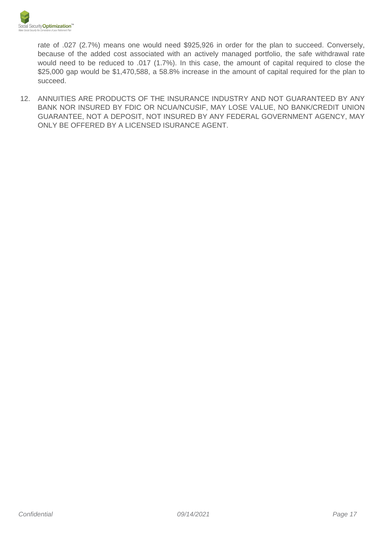

rate of .027 (2.7%) means one would need \$925,926 in order for the plan to succeed. Conversely, because of the added cost associated with an actively managed portfolio, the safe withdrawal rate would need to be reduced to .017 (1.7%). In this case, the amount of capital required to close the \$25,000 gap would be \$1,470,588, a 58.8% increase in the amount of capital required for the plan to succeed.

12. ANNUITIES ARE PRODUCTS OF THE INSURANCE INDUSTRY AND NOT GUARANTEED BY ANY BANK NOR INSURED BY FDIC OR NCUA/NCUSIF, MAY LOSE VALUE, NO BANK/CREDIT UNION GUARANTEE, NOT A DEPOSIT, NOT INSURED BY ANY FEDERAL GOVERNMENT AGENCY, MAY ONLY BE OFFERED BY A LICENSED ISURANCE AGENT.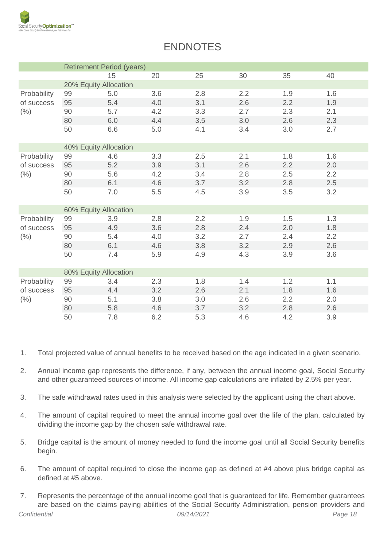

| <b>ENDNOTES</b> |  |
|-----------------|--|
|-----------------|--|

|                                   | <b>Retirement Period (years)</b> |     |     |     |     |     |     |  |  |
|-----------------------------------|----------------------------------|-----|-----|-----|-----|-----|-----|--|--|
|                                   |                                  | 15  | 20  | 25  | 30  | 35  | 40  |  |  |
|                                   | 20% Equity Allocation            |     |     |     |     |     |     |  |  |
| Probability<br>of success<br>(% ) | 99                               | 5.0 | 3.6 | 2.8 | 2.2 | 1.9 | 1.6 |  |  |
|                                   | 95                               | 5.4 | 4.0 | 3.1 | 2.6 | 2.2 | 1.9 |  |  |
|                                   | 90                               | 5.7 | 4.2 | 3.3 | 2.7 | 2.3 | 2.1 |  |  |
|                                   | 80                               | 6.0 | 4.4 | 3.5 | 3.0 | 2.6 | 2.3 |  |  |
|                                   | 50                               | 6.6 | 5.0 | 4.1 | 3.4 | 3.0 | 2.7 |  |  |
|                                   | 40% Equity Allocation            |     |     |     |     |     |     |  |  |
| Probability<br>of success<br>(% ) | 99                               | 4.6 | 3.3 | 2.5 | 2.1 | 1.8 | 1.6 |  |  |
|                                   | 95                               | 5.2 | 3.9 | 3.1 | 2.6 | 2.2 | 2.0 |  |  |
|                                   | 90                               | 5.6 | 4.2 | 3.4 | 2.8 | 2.5 | 2.2 |  |  |
|                                   | 80                               | 6.1 | 4.6 | 3.7 | 3.2 | 2.8 | 2.5 |  |  |
|                                   | 50                               | 7.0 | 5.5 | 4.5 | 3.9 | 3.5 | 3.2 |  |  |
|                                   | 60% Equity Allocation            |     |     |     |     |     |     |  |  |
| Probability<br>of success<br>(% ) | 99                               | 3.9 | 2.8 | 2.2 | 1.9 | 1.5 | 1.3 |  |  |
|                                   | 95                               | 4.9 | 3.6 | 2.8 | 2.4 | 2.0 | 1.8 |  |  |
|                                   | 90                               | 5.4 | 4.0 | 3.2 | 2.7 | 2.4 | 2.2 |  |  |
|                                   | 80                               | 6.1 | 4.6 | 3.8 | 3.2 | 2.9 | 2.6 |  |  |
|                                   | 50                               | 7.4 | 5.9 | 4.9 | 4.3 | 3.9 | 3.6 |  |  |
|                                   | 80% Equity Allocation            |     |     |     |     |     |     |  |  |
| Probability<br>of success<br>(% ) | 99                               | 3.4 | 2.3 | 1.8 | 1.4 | 1.2 | 1.1 |  |  |
|                                   | 95                               | 4.4 | 3.2 | 2.6 | 2.1 | 1.8 | 1.6 |  |  |
|                                   | 90                               | 5.1 | 3.8 | 3.0 | 2.6 | 2.2 | 2.0 |  |  |
|                                   | 80                               | 5.8 | 4.6 | 3.7 | 3.2 | 2.8 | 2.6 |  |  |
|                                   | 50                               | 7.8 | 6.2 | 5.3 | 4.6 | 4.2 | 3.9 |  |  |

- 1. Total projected value of annual benefits to be received based on the age indicated in a given scenario.
- 2. Annual income gap represents the difference, if any, between the annual income goal, Social Security and other guaranteed sources of income. All income gap calculations are inflated by 2.5% per year.
- 3. The safe withdrawal rates used in this analysis were selected by the applicant using the chart above.
- 4. The amount of capital required to meet the annual income goal over the life of the plan, calculated by dividing the income gap by the chosen safe withdrawal rate.
- 5. Bridge capital is the amount of money needed to fund the income goal until all Social Security benefits begin.
- 6. The amount of capital required to close the income gap as defined at #4 above plus bridge capital as defined at #5 above.
- 7. Represents the percentage of the annual income goal that is guaranteed for life. Remember guarantees are based on the claims paying abilities of the Social Security Administration, pension providers and Confidential 09/14/2021 Page 18